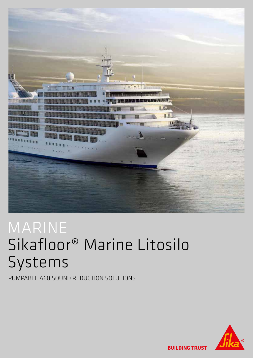

# MARINE Sikafloor® Marine Litosilo Systems

PUMPABLE A60 SOUND REDUCTION SOLUTIONS



**BUILDING TRUST**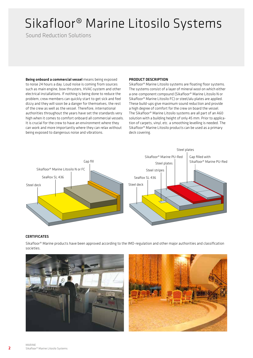# Sikafloor® Marine Litosilo Systems

Sound Reduction Solutions

Being onboard a commercial vessel means being exposed to noise 24 hours a day. Loud noise is coming from sources such as main engine, bow thrusters, HVAC-system and other electrical installations. If nothing is being done to reduce the problem, crew members can quickly start to get sick and feel dizzy and they will soon be a danger for themselves, the rest of the crew as well as the vessel. Therefore, international authorities throughout the years have set the standards very high when it comes to comfort onboard all commercial vessels. It is crucial for the crew to have an environment where they can work and more importantly where they can relax without being exposed to dangerous noise and vibrations.

### PRODUCT DESCRIPTION

Sikafloor® Marine Litosilo systems are floating floor systems. The systems consist of a layer of mineral wool on which either a one-component compound (Sikafloor® Marine Litosilo N or Sikafloor® Marine Litosilo FC) or steel/alu plates are applied. These build-ups give maximum sound reduction and provide a high degree of comfort for the crew on board the vessel. The Sikafloor® Marine Litosilo systems are all part of an A60 solution with a building height of only 45 mm. Prior to application of carpets, vinyl, etc. a smoothing levelling is needed. The Sikafloor® Marine Litosilo products can be used as a primary deck covering.



#### **CERTIFICATES**

Sikafloor® Marine products have been approved according to the IMO-regulation and other major authorities and classification societies.



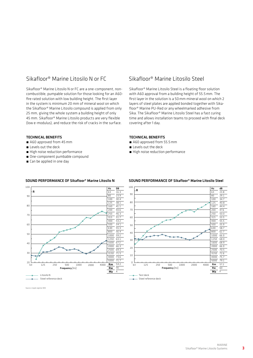### Sikafloor® Marine Litosilo N or FC

Sikafloor® Marine Litosilo N or FC are a one-component, noncombustible, pumpable solution for those looking for an A60 fire rated solution with low building height. The first layer in the system is minimum 20 mm of mineral wool on which the Sikafloor® Marine Litosilo compound is applied from only 25 mm, giving the whole system a building height of only 45 mm. Sikafloor® Marine Litosilo products are very flexible (low e-modulus), and reduce the risk of cracks in the surface.

#### TECHNICAL BENEFITS

- A60 approved from 45 mm
- Levels out the deck
- High noise reduction performance
- One-component pumbable compound
- Can be applied in one day

### Sikafloor® Marine Litosilo Steel

Sikafloor® Marine Litosilo Steel is a floating floor solution with A60 approval from a building height of 55.5mm. The first layer in the solution is a 50mm mineral wool on which 2 layers of steel plates are applied bonded together with Sikafloor® Marine PU-Red or any wheelmarked adhesive from Sika. The Sikafloor® Marine Litosilo Steel has a fast curing time and allows installation teams to proceed with final deck covering after 1 day.

#### TECHNICAL BENEFITS

- A60 approved from 55.5 mm
- **E** Levels out the deck
- **E** High noise reduction performance



#### SOUND PERFORMANCE OF Sikafloor® Marine Litosilo N SOUND PERFORMANCE OF Sikafloor® Marine Litosilo Steel



Source: Lloyds register ODS

3